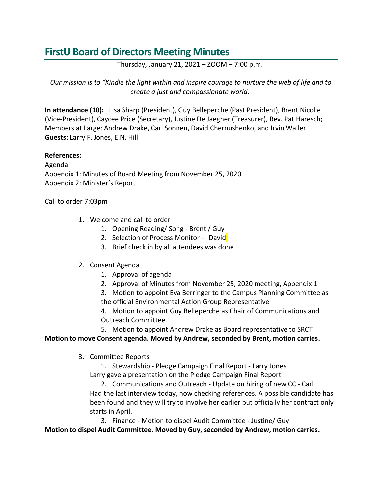# **FirstU Board of Directors Meeting Minutes**

Thursday, January 21, 2021 – ZOOM – 7:00 p.m.

*Our mission is to "Kindle the light within and inspire courage to nurture the web of life and to create a just and compassionate world.*

**In attendance (10):** Lisa Sharp (President), Guy Belleperche (Past President), Brent Nicolle (Vice-President), Caycee Price (Secretary), Justine De Jaegher (Treasurer), Rev. Pat Haresch; Members at Large: Andrew Drake, Carl Sonnen, David Chernushenko, and Irvin Waller **Guests:** Larry F. Jones, E.N. Hill

## **References:**

Agenda Appendix 1: Minutes of Board Meeting from November 25, 2020 Appendix 2: Minister's Report

Call to order 7:03pm

- 1. Welcome and call to order
	- 1. Opening Reading/ Song Brent / Guy
	- 2. Selection of Process Monitor David
	- 3. Brief check in by all attendees was done

### 2. Consent Agenda

- 1. Approval of agenda
- 2. Approval of Minutes from November 25, 2020 meeting, Appendix 1
- 3. Motion to appoint Eva Berringer to the Campus Planning Committee as the official Environmental Action Group Representative
- 4. Motion to appoint Guy Belleperche as Chair of Communications and Outreach Committee
- 5. Motion to appoint Andrew Drake as Board representative to SRCT

### **Motion to move Consent agenda. Moved by Andrew, seconded by Brent, motion carries.**

3. Committee Reports

1. Stewardship - Pledge Campaign Final Report - Larry Jones Larry gave a presentation on the Pledge Campaign Final Report

2. Communications and Outreach - Update on hiring of new CC - Carl Had the last interview today, now checking references. A possible candidate has been found and they will try to involve her earlier but officially her contract only starts in April.

3. Finance - Motion to dispel Audit Committee - Justine/ Guy

**Motion to dispel Audit Committee. Moved by Guy, seconded by Andrew, motion carries.**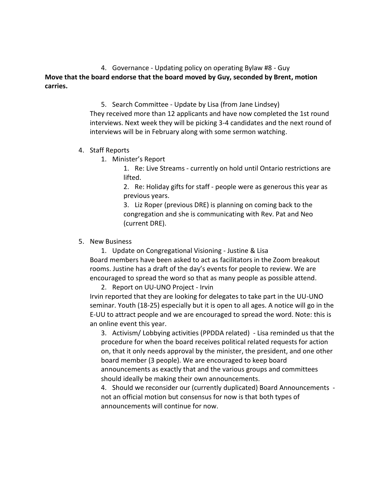4. Governance - Updating policy on operating Bylaw #8 - Guy **Move that the board endorse that the board moved by Guy, seconded by Brent, motion carries.**

> 5. Search Committee - Update by Lisa (from Jane Lindsey) They received more than 12 applicants and have now completed the 1st round interviews. Next week they will be picking 3-4 candidates and the next round of interviews will be in February along with some sermon watching.

#### 4. Staff Reports

1. Minister's Report

1. Re: Live Streams - currently on hold until Ontario restrictions are lifted.

2. Re: Holiday gifts for staff - people were as generous this year as previous years.

3. Liz Roper (previous DRE) is planning on coming back to the congregation and she is communicating with Rev. Pat and Neo (current DRE).

### 5. New Business

1. Update on Congregational Visioning - Justine & Lisa Board members have been asked to act as facilitators in the Zoom breakout rooms. Justine has a draft of the day's events for people to review. We are encouraged to spread the word so that as many people as possible attend.

2. Report on UU-UNO Project - Irvin

Irvin reported that they are looking for delegates to take part in the UU-UNO seminar. Youth (18-25) especially but it is open to all ages. A notice will go in the E-UU to attract people and we are encouraged to spread the word. Note: this is an online event this year.

3. Activism/ Lobbying activities (PPDDA related) - Lisa reminded us that the procedure for when the board receives political related requests for action on, that it only needs approval by the minister, the president, and one other board member (3 people). We are encouraged to keep board announcements as exactly that and the various groups and committees should ideally be making their own announcements.

4. Should we reconsider our (currently duplicated) Board Announcements not an official motion but consensus for now is that both types of announcements will continue for now.